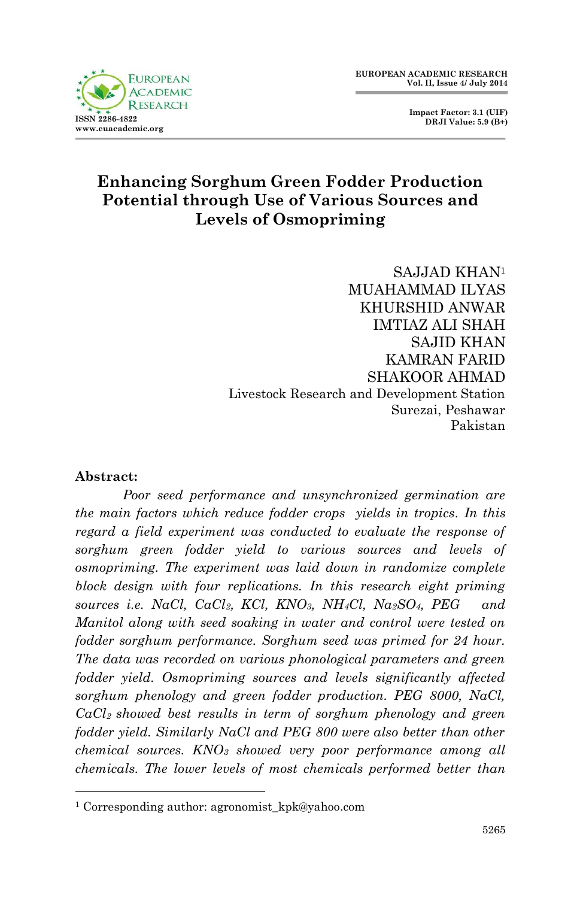

 **Impact Factor: 3.1 (UIF) DRJI Value: 5.9 (B+)**

## **Enhancing Sorghum Green Fodder Production Potential through Use of Various Sources and Levels of Osmopriming**

SAJJAD KHAN<sup>1</sup> MUAHAMMAD ILYAS KHURSHID ANWAR IMTIAZ ALI SHAH SAJID KHAN KAMRAN FARID SHAKOOR AHMAD Livestock Research and Development Station Surezai, Peshawar Pakistan

#### **Abstract:**

1

*Poor seed performance and unsynchronized germination are the main factors which reduce fodder crops yields in tropics. In this regard a field experiment was conducted to evaluate the response of sorghum green fodder yield to various sources and levels of osmopriming. The experiment was laid down in randomize complete block design with four replications. In this research eight priming sources i.e. NaCl, CaCl2, KCl, KNO3, NH4Cl, Na2SO4, PEG and Manitol along with seed soaking in water and control were tested on fodder sorghum performance. Sorghum seed was primed for 24 hour. The data was recorded on various phonological parameters and green fodder yield. Osmopriming sources and levels significantly affected sorghum phenology and green fodder production. PEG 8000, NaCl, CaCl2 showed best results in term of sorghum phenology and green fodder yield. Similarly NaCl and PEG 800 were also better than other chemical sources. KNO<sup>3</sup> showed very poor performance among all chemicals. The lower levels of most chemicals performed better than* 

<sup>&</sup>lt;sup>1</sup> Corresponding author: agronomist\_kpk@yahoo.com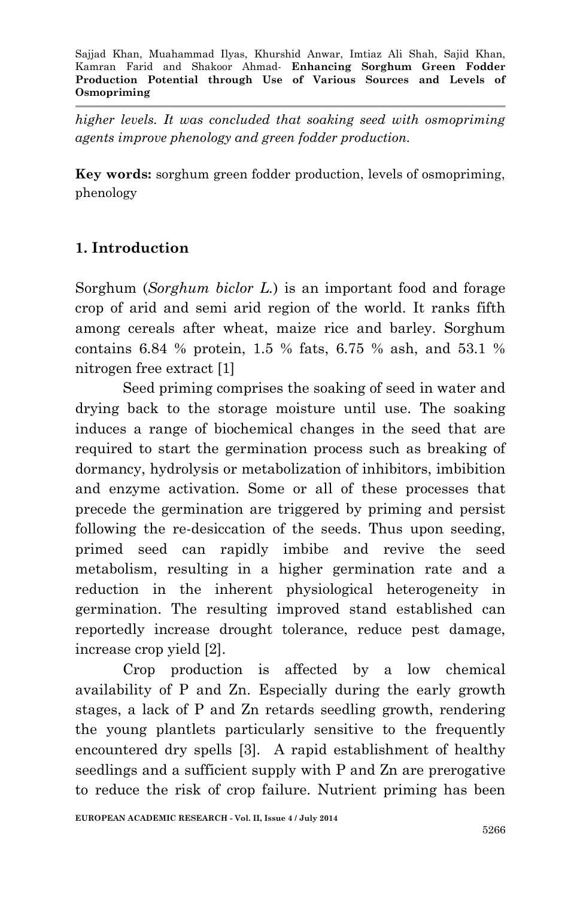*higher levels. It was concluded that soaking seed with osmopriming agents improve phenology and green fodder production.*

**Key words:** sorghum green fodder production, levels of osmopriming, phenology

## **1. Introduction**

Sorghum (*Sorghum biclor L.*) is an important food and forage crop of arid and semi arid region of the world. It ranks fifth among cereals after wheat, maize rice and barley. Sorghum contains 6.84 % protein, 1.5 % fats, 6.75 % ash, and 53.1 % nitrogen free extract [1]

Seed priming comprises the soaking of seed in water and drying back to the storage moisture until use. The soaking induces a range of biochemical changes in the seed that are required to start the germination process such as breaking of dormancy, hydrolysis or metabolization of inhibitors, imbibition and enzyme activation. Some or all of these processes that precede the germination are triggered by priming and persist following the re-desiccation of the seeds. Thus upon seeding, primed seed can rapidly imbibe and revive the seed metabolism, resulting in a higher germination rate and a reduction in the inherent physiological heterogeneity in germination. The resulting improved stand established can reportedly increase drought tolerance, reduce pest damage, increase crop yield [2].

Crop production is affected by a low chemical availability of P and Zn. Especially during the early growth stages, a lack of P and Zn retards seedling growth, rendering the young plantlets particularly sensitive to the frequently encountered dry spells [3]. A rapid establishment of healthy seedlings and a sufficient supply with P and Zn are prerogative to reduce the risk of crop failure. Nutrient priming has been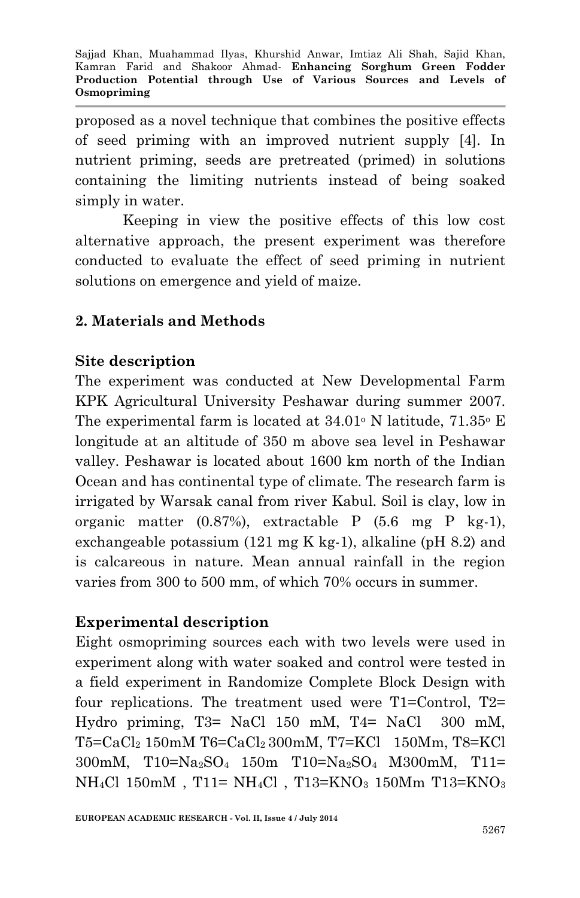proposed as a novel technique that combines the positive effects of seed priming with an improved nutrient supply [4]. In nutrient priming, seeds are pretreated (primed) in solutions containing the limiting nutrients instead of being soaked simply in water.

Keeping in view the positive effects of this low cost alternative approach, the present experiment was therefore conducted to evaluate the effect of seed priming in nutrient solutions on emergence and yield of maize.

### **2. Materials and Methods**

#### **Site description**

The experiment was conducted at New Developmental Farm KPK Agricultural University Peshawar during summer 2007. The experimental farm is located at  $34.01^{\circ}$  N latitude,  $71.35^{\circ}$  E longitude at an altitude of 350 m above sea level in Peshawar valley. Peshawar is located about 1600 km north of the Indian Ocean and has continental type of climate. The research farm is irrigated by Warsak canal from river Kabul. Soil is clay, low in organic matter (0.87%), extractable P (5.6 mg P kg-1), exchangeable potassium (121 mg K kg-1), alkaline (pH 8.2) and is calcareous in nature. Mean annual rainfall in the region varies from 300 to 500 mm, of which 70% occurs in summer.

#### **Experimental description**

Eight osmopriming sources each with two levels were used in experiment along with water soaked and control were tested in a field experiment in Randomize Complete Block Design with four replications. The treatment used were T1=Control, T2= Hydro priming, T3= NaCl 150 mM, T4= NaCl 300 mM, T5=CaCl<sup>2</sup> 150mM T6=CaCl2 300mM, T7=KCl 150Mm, T8=KCl 300mM, T10=Na2SO4 150m T10=Na2SO4 M300mM, T11= NH4Cl 150mM , T11= NH4Cl , T13=KNO<sup>3</sup> 150Mm T13=KNO<sup>3</sup>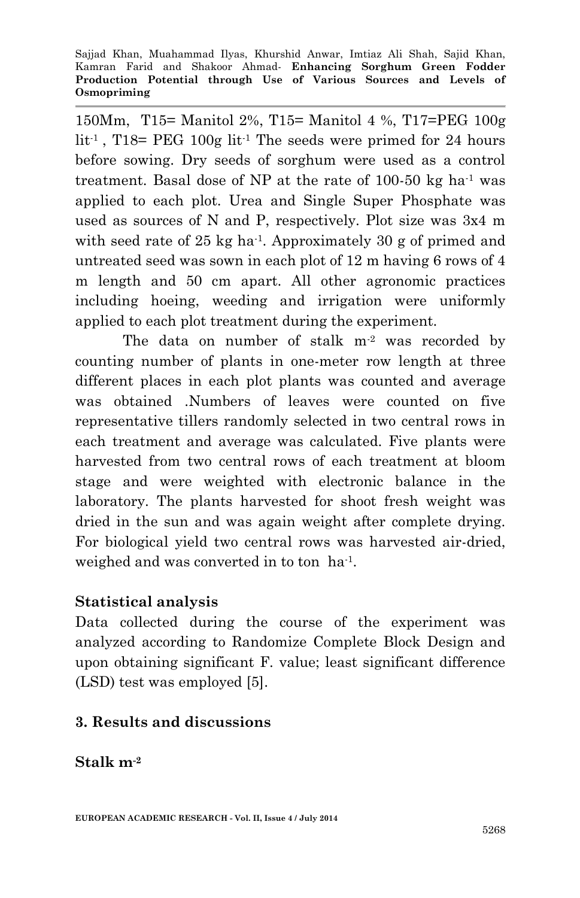150Mm, T15= Manitol 2%, T15= Manitol 4 %, T17=PEG 100g lit<sup>-1</sup>, T18= PEG 100g lit<sup>-1</sup> The seeds were primed for 24 hours before sowing. Dry seeds of sorghum were used as a control treatment. Basal dose of NP at the rate of  $100-50$  kg ha<sup>-1</sup> was applied to each plot. Urea and Single Super Phosphate was used as sources of N and P, respectively. Plot size was 3x4 m with seed rate of 25 kg ha<sup>-1</sup>. Approximately 30 g of primed and untreated seed was sown in each plot of 12 m having 6 rows of 4 m length and 50 cm apart. All other agronomic practices including hoeing, weeding and irrigation were uniformly applied to each plot treatment during the experiment.

The data on number of stalk  $m<sup>2</sup>$  was recorded by counting number of plants in one-meter row length at three different places in each plot plants was counted and average was obtained .Numbers of leaves were counted on five representative tillers randomly selected in two central rows in each treatment and average was calculated. Five plants were harvested from two central rows of each treatment at bloom stage and were weighted with electronic balance in the laboratory. The plants harvested for shoot fresh weight was dried in the sun and was again weight after complete drying. For biological yield two central rows was harvested air-dried, weighed and was converted in to ton ha<sup>-1</sup>.

#### **Statistical analysis**

Data collected during the course of the experiment was analyzed according to Randomize Complete Block Design and upon obtaining significant F. value; least significant difference (LSD) test was employed [5].

#### **3. Results and discussions**

**Stalk m-2**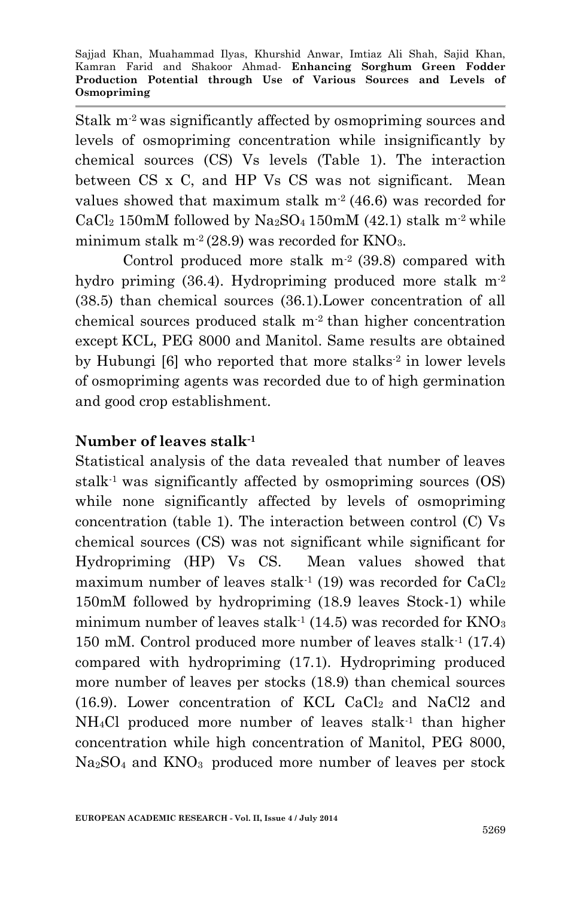Stalk  $m<sup>2</sup>$  was significantly affected by osmopriming sources and levels of osmopriming concentration while insignificantly by chemical sources (CS) Vs levels (Table 1). The interaction between CS x C, and HP Vs CS was not significant. Mean values showed that maximum stalk  $m^2$  (46.6) was recorded for  $CaCl<sub>2</sub> 150mM$  followed by Na<sub>2</sub>SO<sub>4</sub> 150mM (42.1) stalk m<sup>-2</sup> while minimum stalk m<sup>-2</sup> (28.9) was recorded for KNO<sub>3</sub>.

Control produced more stalk  $m<sup>2</sup>$  (39.8) compared with hydro priming (36.4). Hydropriming produced more stalk m-2 (38.5) than chemical sources (36.1).Lower concentration of all chemical sources produced stalk  $m<sup>2</sup>$  than higher concentration except KCL, PEG 8000 and Manitol. Same results are obtained by Hubungi [6] who reported that more stalks<sup>-2</sup> in lower levels of osmopriming agents was recorded due to of high germination and good crop establishment.

### **Number of leaves stalk-1**

Statistical analysis of the data revealed that number of leaves stalk-1 was significantly affected by osmopriming sources (OS) while none significantly affected by levels of osmopriming concentration (table 1). The interaction between control (C) Vs chemical sources (CS) was not significant while significant for Hydropriming (HP) Vs CS. Mean values showed that maximum number of leaves stalk<sup>-1</sup> (19) was recorded for  $CaCl<sub>2</sub>$ 150mM followed by hydropriming (18.9 leaves Stock-1) while minimum number of leaves stalk<sup>-1</sup> (14.5) was recorded for  $KNO<sub>3</sub>$ 150 mM. Control produced more number of leaves stalk-1 (17.4) compared with hydropriming (17.1). Hydropriming produced more number of leaves per stocks (18.9) than chemical sources (16.9). Lower concentration of KCL CaCl2 and NaCl2 and  $NH<sub>4</sub>Cl$  produced more number of leaves stalk<sup>-1</sup> than higher concentration while high concentration of Manitol, PEG 8000, Na2SO<sup>4</sup> and KNO3 produced more number of leaves per stock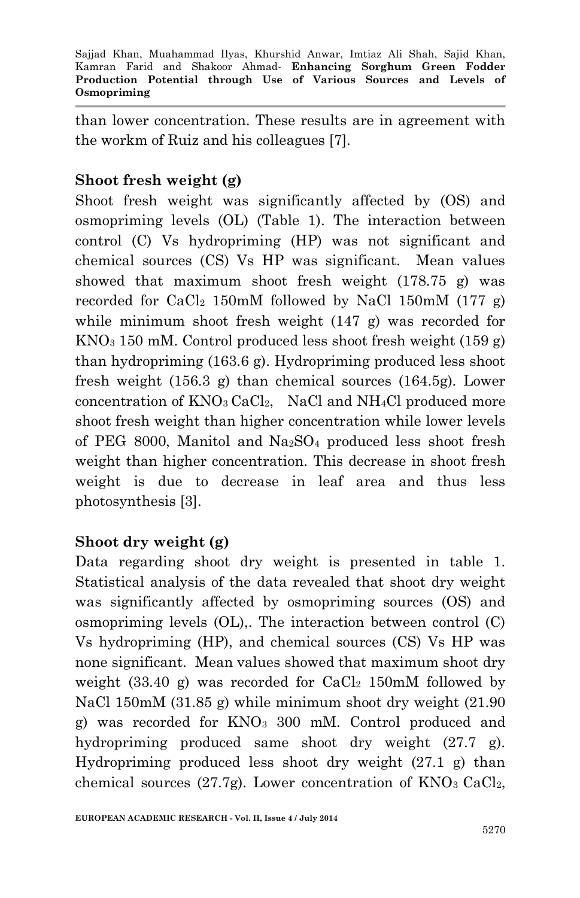than lower concentration. These results are in agreement with the workm of Ruiz and his colleagues [7].

# **Shoot fresh weight (g)**

Shoot fresh weight was significantly affected by (OS) and osmopriming levels (OL) (Table 1). The interaction between control (C) Vs hydropriming (HP) was not significant and chemical sources (CS) Vs HP was significant. Mean values showed that maximum shoot fresh weight (178.75 g) was recorded for  $CaCl<sub>2</sub> 150mM$  followed by NaCl 150mM (177 g) while minimum shoot fresh weight (147 g) was recorded for  $KNO<sub>3</sub> 150$  mM. Control produced less shoot fresh weight (159 g) than hydropriming (163.6 g). Hydropriming produced less shoot fresh weight (156.3 g) than chemical sources (164.5g). Lower concentration of  $KNO_3$  CaCl<sub>2</sub>, NaCl and NH<sub>4</sub>Cl produced more shoot fresh weight than higher concentration while lower levels of PEG 8000, Manitol and Na2SO<sup>4</sup> produced less shoot fresh weight than higher concentration. This decrease in shoot fresh weight is due to decrease in leaf area and thus less photosynthesis [3].

### **Shoot dry weight (g)**

Data regarding shoot dry weight is presented in table 1. Statistical analysis of the data revealed that shoot dry weight was significantly affected by osmopriming sources (OS) and osmopriming levels (OL),. The interaction between control (C) Vs hydropriming (HP), and chemical sources (CS) Vs HP was none significant. Mean values showed that maximum shoot dry weight  $(33.40 \text{ g})$  was recorded for  $CaCl<sub>2</sub> 150 \text{m}$  followed by NaCl 150mM (31.85 g) while minimum shoot dry weight (21.90 g) was recorded for KNO<sup>3</sup> 300 mM. Control produced and hydropriming produced same shoot dry weight (27.7 g). Hydropriming produced less shoot dry weight (27.1 g) than chemical sources (27.7g). Lower concentration of  $KNO<sub>3</sub> CaCl<sub>2</sub>$ ,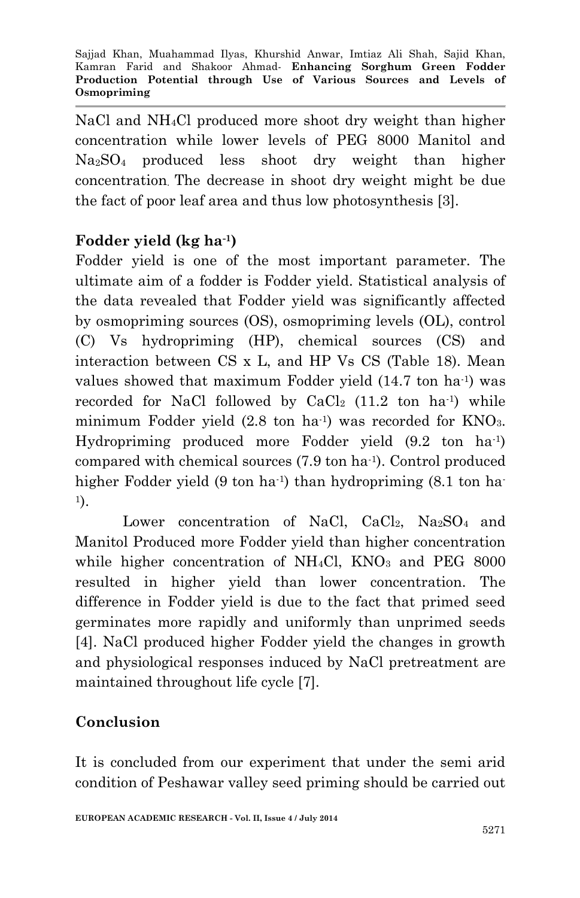NaCl and NH4Cl produced more shoot dry weight than higher concentration while lower levels of PEG 8000 Manitol and Na2SO<sup>4</sup> produced less shoot dry weight than higher concentration. The decrease in shoot dry weight might be due the fact of poor leaf area and thus low photosynthesis [3].

## **Fodder yield (kg ha-1)**

Fodder yield is one of the most important parameter. The ultimate aim of a fodder is Fodder yield. Statistical analysis of the data revealed that Fodder yield was significantly affected by osmopriming sources (OS), osmopriming levels (OL), control (C) Vs hydropriming (HP), chemical sources (CS) and interaction between CS x L, and HP Vs CS (Table 18). Mean values showed that maximum Fodder yield (14.7 ton ha<sup>1</sup>) was recorded for NaCl followed by  $CaCl<sub>2</sub>$  (11.2 ton ha<sup>-1</sup>) while minimum Fodder yield (2.8 ton ha<sup>1</sup>) was recorded for KNO<sub>3</sub>. Hydropriming produced more Fodder yield (9.2 ton ha-1 ) compared with chemical sources (7.9 ton ha-1 ). Control produced higher Fodder yield (9 ton ha<sup>1</sup>) than hydropriming (8.1 ton ha-1 ).

Lower concentration of NaCl,  $CaCl<sub>2</sub>$ , Na<sub>2</sub>SO<sub>4</sub> and Manitol Produced more Fodder yield than higher concentration while higher concentration of  $NH<sub>4</sub>Cl$ ,  $KNO<sub>3</sub>$  and PEG 8000 resulted in higher yield than lower concentration. The difference in Fodder yield is due to the fact that primed seed germinates more rapidly and uniformly than unprimed seeds [4]. NaCl produced higher Fodder yield the changes in growth and physiological responses induced by NaCl pretreatment are maintained throughout life cycle [7].

# **Conclusion**

It is concluded from our experiment that under the semi arid condition of Peshawar valley seed priming should be carried out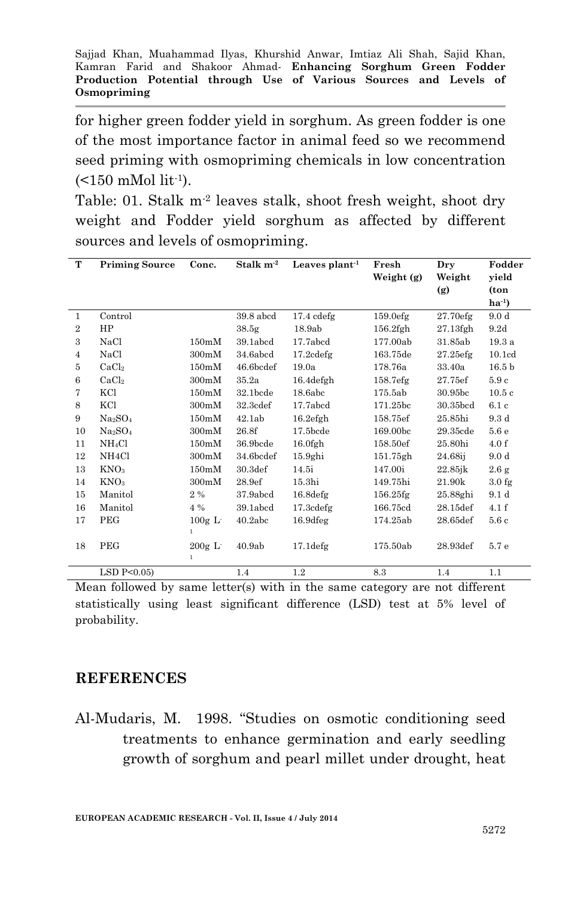for higher green fodder yield in sorghum. As green fodder is one of the most importance factor in animal feed so we recommend seed priming with osmopriming chemicals in low concentration  $($  < 150 mMol lit<sup>-1</sup> $).$ 

Table: 01. Stalk m-2 leaves stalk, shoot fresh weight, shoot dry weight and Fodder yield sorghum as affected by different sources and levels of osmopriming.

| T              | <b>Priming Source</b>           | Conc.        | Stalk m <sup>-2</sup> | Leaves $plant-1$     | Fresh                | Dry                    | Fodder             |
|----------------|---------------------------------|--------------|-----------------------|----------------------|----------------------|------------------------|--------------------|
|                |                                 |              |                       |                      | Weight (g)           | Weight                 | yield              |
|                |                                 |              |                       |                      |                      | (g)                    | (ton               |
|                |                                 |              |                       |                      |                      |                        | $ha^{-1}$          |
| 1              | Control                         |              | 39.8 abcd             | $17.4$ $cdefg$       | 159.0efg             | 27.70efg               | 9.0 <sub>d</sub>   |
| $\overline{2}$ | HP                              |              | 38.5 <sub>g</sub>     | 18.9ab               | $156.2$ fgh          | $27.13$ fgh            | 9.2d               |
| 3              | NaCl                            | 150mM        | 39.1abcd              | 17.7abcd             | 177.00ab             | 31.85ab                | 19.3a              |
| $\overline{4}$ | NaCl                            | 300mM        | 34.6abcd              | $17.2$ cdefg         | 163.75de             | 27.25 <sub>eff</sub>   | 10.1 <sub>cd</sub> |
| 5              | CaCl <sub>2</sub>               | 150mM        | 46.6bcdef             | 19.0a                | 178.76a              | 33.40a                 | 16.5 <sub>b</sub>  |
| 6              | CaCl <sub>2</sub>               | 300mM        | 35.2a                 | $16.4$ defgh         | 158.7 <sub>efg</sub> | 27.75ef                | 5.9c               |
| 7              | KCl                             | 150mM        | 32.1bcde              | 18.6abc              | 175.5ab              | 30.95bc                | 10.5c              |
| 8              | KCl                             | 300mM        | 32.3 <sub>cdef</sub>  | 17.7abcd             | 171.25bc             | 30.35bcd               | 6.1c               |
| 9              | Na <sub>2</sub> SO <sub>4</sub> | 150mM        | 42.1ab                | 16.2efgh             | 158.75ef             | 25.85hi                | 9.3d               |
| 10             | Na <sub>2</sub> SO <sub>4</sub> | 300mM        | 26.8f                 | $17.5$ bcde          | 169.00bc             | 29.35cde               | 5.6e               |
| 11             | NH <sub>4</sub> Cl              | 150mM        | 36.9bcde              | $16.0$ fgh           | 158.50ef             | 25.80hi                | 4.0 f              |
| 12             | NH <sub>4</sub> Cl              | 300mM        | 34.6bcdef             | 15.9ghi              | 151.75gh             | 24.68ij                | 9.0 <sub>d</sub>   |
| 13             | KNO <sub>3</sub>                | 150mM        | 30.3 <sub>def</sub>   | 14.5i                | 147.00i              | $22.85$ <sub>i</sub> k | 2.6 g              |
| 14             | KNO <sub>3</sub>                | 300mM        | 28.9ef                | 15.3 <sub>hi</sub>   | 149.75hi             | 21.90k                 | 3.0 <sub>fg</sub>  |
| 15             | Manitol                         | $2\%$        | 37.9abcd              | 16.8 <sub>deg</sub>  | $156.25$ fg          | 25.88ghi               | 9.1 <sub>d</sub>   |
| 16             | Manitol                         | 4 %          | 39.1abcd              | 17.3cdefg            | 166.75cd             | 28.15def               | 4.1 f              |
| 17             | PEG                             | $100g$ L     | 40.2abc               | 16.9 <sub>deg</sub>  | 174.25ab             | 28.65def               | 5.6c               |
|                |                                 | $\mathbf{1}$ |                       |                      |                      |                        |                    |
| 18             | PEG                             | $200g$ L     | 40.9ab                | 17.1 <sub>defg</sub> | 175.50ab             | 28.93def               | 5.7 e              |
|                |                                 | $\mathbf{1}$ |                       |                      |                      |                        |                    |
|                | LSD $P<0.05$                    |              | 1.4                   | 1.2                  | 8.3                  | 1.4                    | 1.1                |

Mean followed by same letter(s) with in the same category are not different statistically using least significant difference (LSD) test at 5% level of probability.

#### **REFERENCES**

Al-Mudaris, M. 1998. "Studies on osmotic conditioning seed treatments to enhance germination and early seedling growth of sorghum and pearl millet under drought, heat